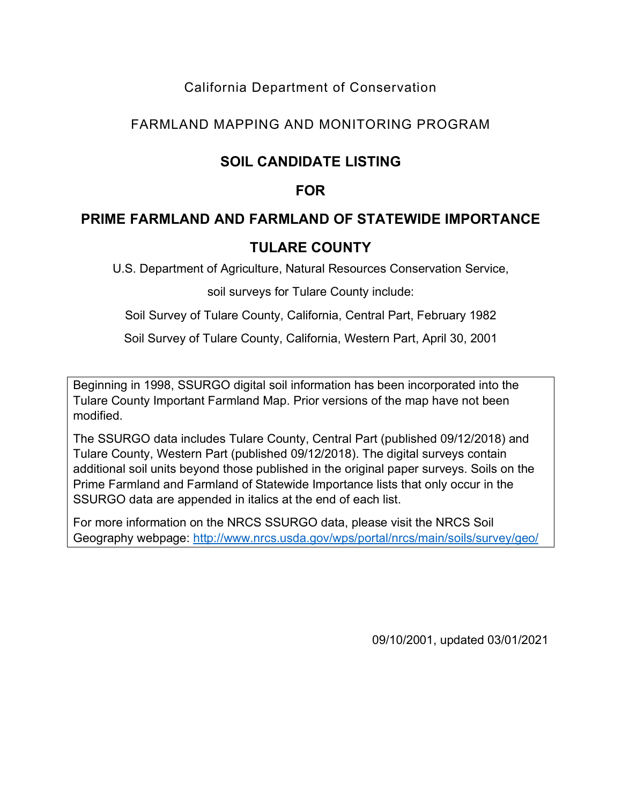### California Department of Conservation

### FARMLAND MAPPING AND MONITORING PROGRAM

# **SOIL CANDIDATE LISTING**

### **FOR**

### **PRIME FARMLAND AND FARMLAND OF STATEWIDE IMPORTANCE**

## **TULARE COUNTY**

U.S. Department of Agriculture, Natural Resources Conservation Service,

soil surveys for Tulare County include:

Soil Survey of Tulare County, California, Central Part, February 1982

Soil Survey of Tulare County, California, Western Part, April 30, 2001

Beginning in 1998, SSURGO digital soil information has been incorporated into the Tulare County Important Farmland Map. Prior versions of the map have not been modified.

The SSURGO data includes Tulare County, Central Part (published 09/12/2018) and Tulare County, Western Part (published 09/12/2018). The digital surveys contain additional soil units beyond those published in the original paper surveys. Soils on the Prime Farmland and Farmland of Statewide Importance lists that only occur in the SSURGO data are appended in italics at the end of each list.

For more information on the NRCS SSURGO data, please visit the NRCS Soil Geography webpage:<http://www.nrcs.usda.gov/wps/portal/nrcs/main/soils/survey/geo/>

09/10/2001, updated 03/01/2021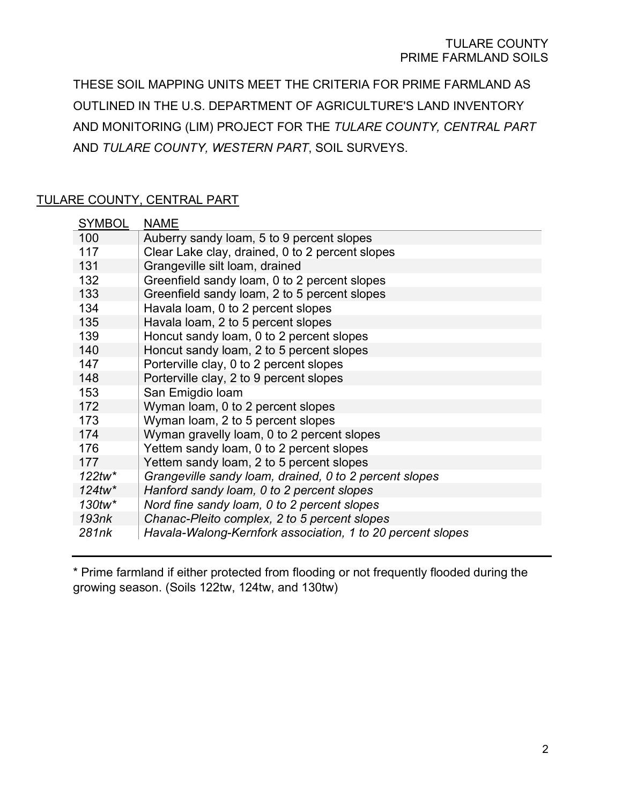THESE SOIL MAPPING UNITS MEET THE CRITERIA FOR PRIME FARMLAND AS OUTLINED IN THE U.S. DEPARTMENT OF AGRICULTURE'S LAND INVENTORY AND MONITORING (LIM) PROJECT FOR THE *TULARE COUNTY, CENTRAL PART* AND *TULARE COUNTY, WESTERN PART*, SOIL SURVEYS.

#### TULARE COUNTY, CENTRAL PART

| <b>SYMBOL</b> | <b>NAME</b>                                                |
|---------------|------------------------------------------------------------|
| 100           | Auberry sandy loam, 5 to 9 percent slopes                  |
| 117           | Clear Lake clay, drained, 0 to 2 percent slopes            |
| 131           | Grangeville silt loam, drained                             |
| 132           | Greenfield sandy loam, 0 to 2 percent slopes               |
| 133           | Greenfield sandy loam, 2 to 5 percent slopes               |
| 134           | Havala loam, 0 to 2 percent slopes                         |
| 135           | Havala loam, 2 to 5 percent slopes                         |
| 139           | Honcut sandy loam, 0 to 2 percent slopes                   |
| 140           | Honcut sandy loam, 2 to 5 percent slopes                   |
| 147           | Porterville clay, 0 to 2 percent slopes                    |
| 148           | Porterville clay, 2 to 9 percent slopes                    |
| 153           | San Emigdio Ioam                                           |
| 172           | Wyman loam, 0 to 2 percent slopes                          |
| 173           | Wyman loam, 2 to 5 percent slopes                          |
| 174           | Wyman gravelly loam, 0 to 2 percent slopes                 |
| 176           | Yettem sandy loam, 0 to 2 percent slopes                   |
| 177           | Yettem sandy loam, 2 to 5 percent slopes                   |
| $122$ tw*     | Grangeville sandy loam, drained, 0 to 2 percent slopes     |
| $124$ tw*     | Hanford sandy loam, 0 to 2 percent slopes                  |
| 130tw*        | Nord fine sandy loam, 0 to 2 percent slopes                |
| 193nk         | Chanac-Pleito complex, 2 to 5 percent slopes               |
| 281nk         | Havala-Walong-Kernfork association, 1 to 20 percent slopes |

\* Prime farmland if either protected from flooding or not frequently flooded during the growing season. (Soils 122tw, 124tw, and 130tw)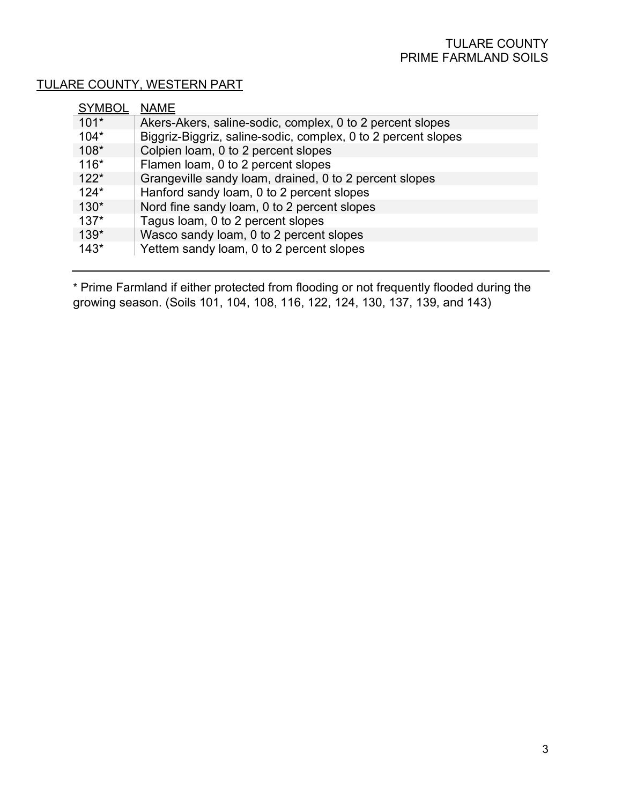#### TULARE COUNTY, WESTERN PART

| $101*$<br>Akers-Akers, saline-sodic, complex, 0 to 2 percent slopes     |
|-------------------------------------------------------------------------|
|                                                                         |
| Biggriz-Biggriz, saline-sodic, complex, 0 to 2 percent slopes<br>$104*$ |
| $108*$<br>Colpien loam, 0 to 2 percent slopes                           |
| $116*$<br>Flamen loam, 0 to 2 percent slopes                            |
| Grangeville sandy loam, drained, 0 to 2 percent slopes<br>$122*$        |
| Hanford sandy loam, 0 to 2 percent slopes<br>$124*$                     |
| $130*$<br>Nord fine sandy loam, 0 to 2 percent slopes                   |
| $137*$<br>Tagus loam, 0 to 2 percent slopes                             |
| $139*$<br>Wasco sandy loam, 0 to 2 percent slopes                       |
| Yettem sandy loam, 0 to 2 percent slopes<br>$143*$                      |

\* Prime Farmland if either protected from flooding or not frequently flooded during the growing season. (Soils 101, 104, 108, 116, 122, 124, 130, 137, 139, and 143)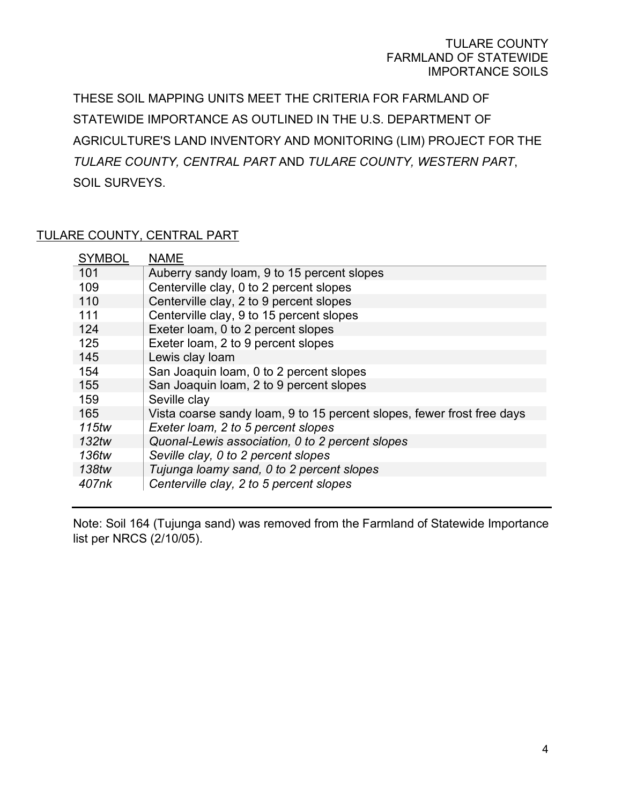#### TULARE COUNTY FARMLAND OF STATEWIDE IMPORTANCE SOILS

THESE SOIL MAPPING UNITS MEET THE CRITERIA FOR FARMLAND OF STATEWIDE IMPORTANCE AS OUTLINED IN THE U.S. DEPARTMENT OF AGRICULTURE'S LAND INVENTORY AND MONITORING (LIM) PROJECT FOR THE *TULARE COUNTY, CENTRAL PART* AND *TULARE COUNTY, WESTERN PART*, SOIL SURVEYS.

#### TULARE COUNTY, CENTRAL PART

| <b>SYMBOL</b> | <b>NAME</b>                                                            |
|---------------|------------------------------------------------------------------------|
| 101           | Auberry sandy loam, 9 to 15 percent slopes                             |
| 109           | Centerville clay, 0 to 2 percent slopes                                |
| 110           | Centerville clay, 2 to 9 percent slopes                                |
| 111           | Centerville clay, 9 to 15 percent slopes                               |
| 124           | Exeter loam, 0 to 2 percent slopes                                     |
| 125           | Exeter loam, 2 to 9 percent slopes                                     |
| 145           | Lewis clay loam                                                        |
| 154           | San Joaquin Ioam, 0 to 2 percent slopes                                |
| 155           | San Joaquin Ioam, 2 to 9 percent slopes                                |
| 159           | Seville clay                                                           |
| 165           | Vista coarse sandy loam, 9 to 15 percent slopes, fewer frost free days |
| 115tw         | Exeter loam, 2 to 5 percent slopes                                     |
| 132tw         | Quonal-Lewis association, 0 to 2 percent slopes                        |
| 136tw         | Seville clay, 0 to 2 percent slopes                                    |
| 138tw         | Tujunga loamy sand, 0 to 2 percent slopes                              |
| 407nk         | Centerville clay, 2 to 5 percent slopes                                |

Note: Soil 164 (Tujunga sand) was removed from the Farmland of Statewide Importance list per NRCS (2/10/05).